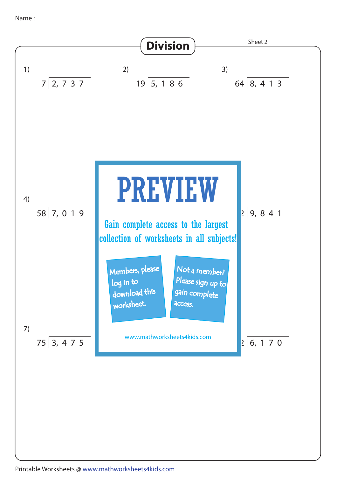